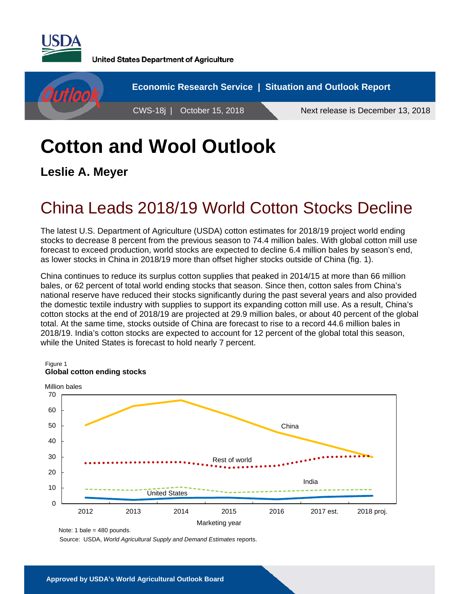

**United States Department of Agriculture** 



# **Cotton and Wool Outlook**

**Leslie A. Meyer**

## China Leads 2018/19 World Cotton Stocks Decline

The latest U.S. Department of Agriculture (USDA) cotton estimates for 2018/19 project world ending stocks to decrease 8 percent from the previous season to 74.4 million bales. With global cotton mill use forecast to exceed production, world stocks are expected to decline 6.4 million bales by season's end, as lower stocks in China in 2018/19 more than offset higher stocks outside of China (fig. 1).

China continues to reduce its surplus cotton supplies that peaked in 2014/15 at more than 66 million bales, or 62 percent of total world ending stocks that season. Since then, cotton sales from China's national reserve have reduced their stocks significantly during the past several years and also provided the domestic textile industry with supplies to support its expanding cotton mill use. As a result, China's cotton stocks at the end of 2018/19 are projected at 29.9 million bales, or about 40 percent of the global total. At the same time, stocks outside of China are forecast to rise to a record 44.6 million bales in 2018/19. India's cotton stocks are expected to account for 12 percent of the global total this season, while the United States is forecast to hold nearly 7 percent.



Note: 1 bale =  $480$  pounds.

Source: USDA, *World Agricultural Supply and Demand Estimates* reports.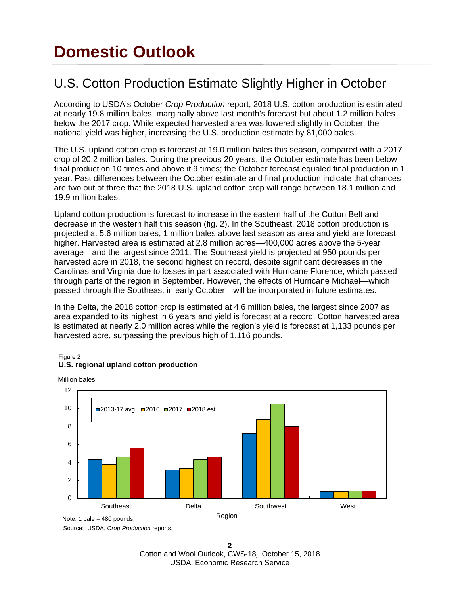## **Domestic Outlook**

### U.S. Cotton Production Estimate Slightly Higher in October

According to USDA's October *Crop Production* report, 2018 U.S. cotton production is estimated at nearly 19.8 million bales, marginally above last month's forecast but about 1.2 million bales below the 2017 crop. While expected harvested area was lowered slightly in October, the national yield was higher, increasing the U.S. production estimate by 81,000 bales.

The U.S. upland cotton crop is forecast at 19.0 million bales this season, compared with a 2017 crop of 20.2 million bales. During the previous 20 years, the October estimate has been below final production 10 times and above it 9 times; the October forecast equaled final production in 1 year. Past differences between the October estimate and final production indicate that chances are two out of three that the 2018 U.S. upland cotton crop will range between 18.1 million and 19.9 million bales.

Upland cotton production is forecast to increase in the eastern half of the Cotton Belt and decrease in the western half this season (fig. 2). In the Southeast, 2018 cotton production is projected at 5.6 million bales, 1 million bales above last season as area and yield are forecast higher. Harvested area is estimated at 2.8 million acres—400,000 acres above the 5-year average—and the largest since 2011. The Southeast yield is projected at 950 pounds per harvested acre in 2018, the second highest on record, despite significant decreases in the Carolinas and Virginia due to losses in part associated with Hurricane Florence, which passed through parts of the region in September. However, the effects of Hurricane Michael—which passed through the Southeast in early October—will be incorporated in future estimates.

In the Delta, the 2018 cotton crop is estimated at 4.6 million bales, the largest since 2007 as area expanded to its highest in 6 years and yield is forecast at a record. Cotton harvested area is estimated at nearly 2.0 million acres while the region's yield is forecast at 1,133 pounds per harvested acre, surpassing the previous high of 1,116 pounds.



#### Figure 2 **U.S. regional upland cotton production**

Source: USDA, *Crop Production* reports. Note: 1 bale =  $480$  pounds.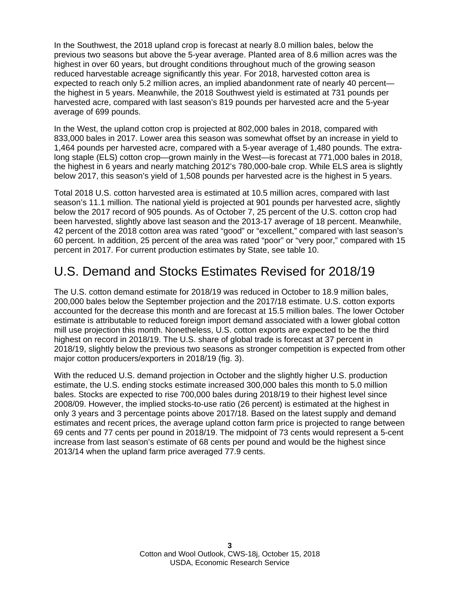In the Southwest, the 2018 upland crop is forecast at nearly 8.0 million bales, below the previous two seasons but above the 5-year average. Planted area of 8.6 million acres was the highest in over 60 years, but drought conditions throughout much of the growing season reduced harvestable acreage significantly this year. For 2018, harvested cotton area is expected to reach only 5.2 million acres, an implied abandonment rate of nearly 40 percent the highest in 5 years. Meanwhile, the 2018 Southwest yield is estimated at 731 pounds per harvested acre, compared with last season's 819 pounds per harvested acre and the 5-year average of 699 pounds.

In the West, the upland cotton crop is projected at 802,000 bales in 2018, compared with 833,000 bales in 2017. Lower area this season was somewhat offset by an increase in yield to 1,464 pounds per harvested acre, compared with a 5-year average of 1,480 pounds. The extralong staple (ELS) cotton crop—grown mainly in the West—is forecast at 771,000 bales in 2018, the highest in 6 years and nearly matching 2012's 780,000-bale crop. While ELS area is slightly below 2017, this season's yield of 1,508 pounds per harvested acre is the highest in 5 years.

Total 2018 U.S. cotton harvested area is estimated at 10.5 million acres, compared with last season's 11.1 million. The national yield is projected at 901 pounds per harvested acre, slightly below the 2017 record of 905 pounds. As of October 7, 25 percent of the U.S. cotton crop had been harvested, slightly above last season and the 2013-17 average of 18 percent. Meanwhile, 42 percent of the 2018 cotton area was rated "good" or "excellent," compared with last season's 60 percent. In addition, 25 percent of the area was rated "poor" or "very poor," compared with 15 percent in 2017. For current production estimates by State, see table 10.

### U.S. Demand and Stocks Estimates Revised for 2018/19

The U.S. cotton demand estimate for 2018/19 was reduced in October to 18.9 million bales, 200,000 bales below the September projection and the 2017/18 estimate. U.S. cotton exports accounted for the decrease this month and are forecast at 15.5 million bales. The lower October estimate is attributable to reduced foreign import demand associated with a lower global cotton mill use projection this month. Nonetheless, U.S. cotton exports are expected to be the third highest on record in 2018/19. The U.S. share of global trade is forecast at 37 percent in 2018/19, slightly below the previous two seasons as stronger competition is expected from other major cotton producers/exporters in 2018/19 (fig. 3).

With the reduced U.S. demand projection in October and the slightly higher U.S. production estimate, the U.S. ending stocks estimate increased 300,000 bales this month to 5.0 million bales. Stocks are expected to rise 700,000 bales during 2018/19 to their highest level since 2008/09. However, the implied stocks-to-use ratio (26 percent) is estimated at the highest in only 3 years and 3 percentage points above 2017/18. Based on the latest supply and demand estimates and recent prices, the average upland cotton farm price is projected to range between 69 cents and 77 cents per pound in 2018/19. The midpoint of 73 cents would represent a 5-cent increase from last season's estimate of 68 cents per pound and would be the highest since 2013/14 when the upland farm price averaged 77.9 cents.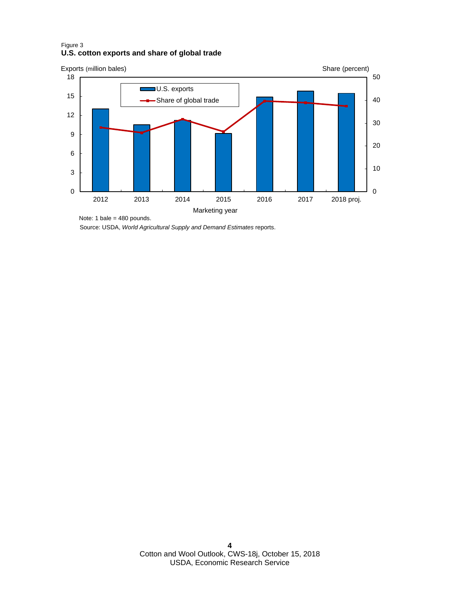#### Figure 3 **U.S. cotton exports and share of global trade**



Source: USDA, *World Agricultural Supply and Demand Estimates* reports.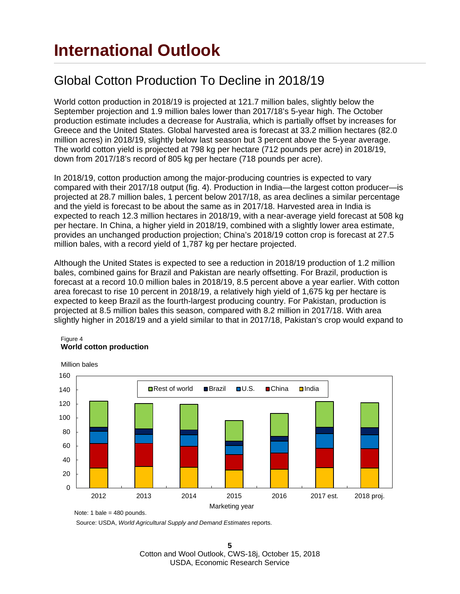### Global Cotton Production To Decline in 2018/19

World cotton production in 2018/19 is projected at 121.7 million bales, slightly below the September projection and 1.9 million bales lower than 2017/18's 5-year high. The October production estimate includes a decrease for Australia, which is partially offset by increases for Greece and the United States. Global harvested area is forecast at 33.2 million hectares (82.0 million acres) in 2018/19, slightly below last season but 3 percent above the 5-year average. The world cotton yield is projected at 798 kg per hectare (712 pounds per acre) in 2018/19, down from 2017/18's record of 805 kg per hectare (718 pounds per acre).

In 2018/19, cotton production among the major-producing countries is expected to vary compared with their 2017/18 output (fig. 4). Production in India—the largest cotton producer—is projected at 28.7 million bales, 1 percent below 2017/18, as area declines a similar percentage and the yield is forecast to be about the same as in 2017/18. Harvested area in India is expected to reach 12.3 million hectares in 2018/19, with a near-average yield forecast at 508 kg per hectare. In China, a higher yield in 2018/19, combined with a slightly lower area estimate, provides an unchanged production projection; China's 2018/19 cotton crop is forecast at 27.5 million bales, with a record yield of 1,787 kg per hectare projected.

Although the United States is expected to see a reduction in 2018/19 production of 1.2 million bales, combined gains for Brazil and Pakistan are nearly offsetting. For Brazil, production is forecast at a record 10.0 million bales in 2018/19, 8.5 percent above a year earlier. With cotton area forecast to rise 10 percent in 2018/19, a relatively high yield of 1,675 kg per hectare is expected to keep Brazil as the fourth-largest producing country. For Pakistan, production is projected at 8.5 million bales this season, compared with 8.2 million in 2017/18. With area slightly higher in 2018/19 and a yield similar to that in 2017/18, Pakistan's crop would expand to



#### Figure 4 **World cotton production**

Source: USDA, *World Agricultural Supply and Demand Estimates* reports.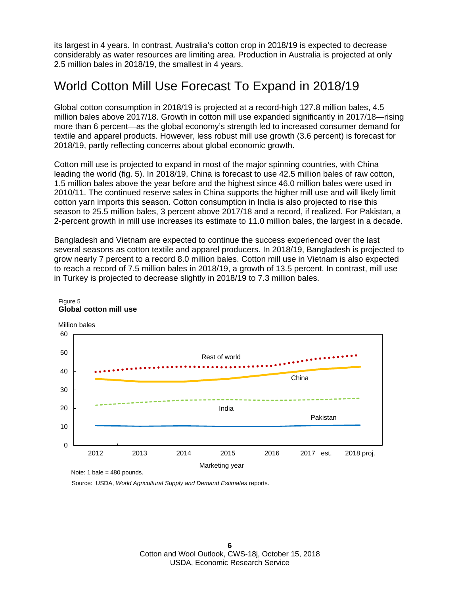its largest in 4 years. In contrast, Australia's cotton crop in 2018/19 is expected to decrease considerably as water resources are limiting area. Production in Australia is projected at only 2.5 million bales in 2018/19, the smallest in 4 years.

### World Cotton Mill Use Forecast To Expand in 2018/19

Global cotton consumption in 2018/19 is projected at a record-high 127.8 million bales, 4.5 million bales above 2017/18. Growth in cotton mill use expanded significantly in 2017/18—rising more than 6 percent—as the global economy's strength led to increased consumer demand for textile and apparel products. However, less robust mill use growth (3.6 percent) is forecast for 2018/19, partly reflecting concerns about global economic growth.

Cotton mill use is projected to expand in most of the major spinning countries, with China leading the world (fig. 5). In 2018/19, China is forecast to use 42.5 million bales of raw cotton, 1.5 million bales above the year before and the highest since 46.0 million bales were used in 2010/11. The continued reserve sales in China supports the higher mill use and will likely limit cotton yarn imports this season. Cotton consumption in India is also projected to rise this season to 25.5 million bales, 3 percent above 2017/18 and a record, if realized. For Pakistan, a 2-percent growth in mill use increases its estimate to 11.0 million bales, the largest in a decade.

Bangladesh and Vietnam are expected to continue the success experienced over the last several seasons as cotton textile and apparel producers. In 2018/19, Bangladesh is projected to grow nearly 7 percent to a record 8.0 million bales. Cotton mill use in Vietnam is also expected to reach a record of 7.5 million bales in 2018/19, a growth of 13.5 percent. In contrast, mill use in Turkey is projected to decrease slightly in 2018/19 to 7.3 million bales.



#### Figure 5 **Global cotton mill use**

Note: 1 bale =  $480$  pounds.

Source: USDA, *World Agricultural Supply and Demand Estimates* reports.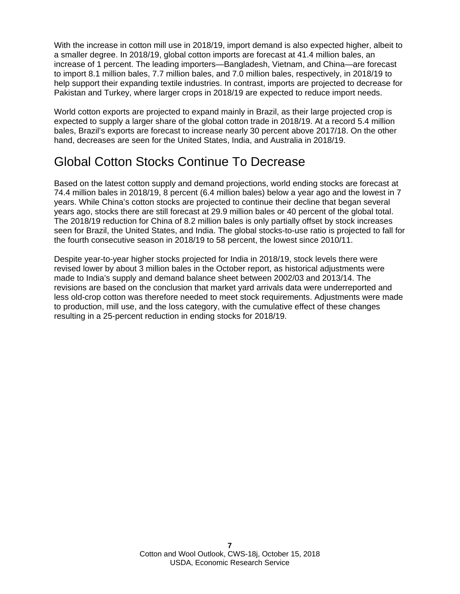With the increase in cotton mill use in 2018/19, import demand is also expected higher, albeit to a smaller degree. In 2018/19, global cotton imports are forecast at 41.4 million bales, an increase of 1 percent. The leading importers—Bangladesh, Vietnam, and China—are forecast to import 8.1 million bales, 7.7 million bales, and 7.0 million bales, respectively, in 2018/19 to help support their expanding textile industries. In contrast, imports are projected to decrease for Pakistan and Turkey, where larger crops in 2018/19 are expected to reduce import needs.

World cotton exports are projected to expand mainly in Brazil, as their large projected crop is expected to supply a larger share of the global cotton trade in 2018/19. At a record 5.4 million bales, Brazil's exports are forecast to increase nearly 30 percent above 2017/18. On the other hand, decreases are seen for the United States, India, and Australia in 2018/19.

### Global Cotton Stocks Continue To Decrease

Based on the latest cotton supply and demand projections, world ending stocks are forecast at 74.4 million bales in 2018/19, 8 percent (6.4 million bales) below a year ago and the lowest in 7 years. While China's cotton stocks are projected to continue their decline that began several years ago, stocks there are still forecast at 29.9 million bales or 40 percent of the global total. The 2018/19 reduction for China of 8.2 million bales is only partially offset by stock increases seen for Brazil, the United States, and India. The global stocks-to-use ratio is projected to fall for the fourth consecutive season in 2018/19 to 58 percent, the lowest since 2010/11.

Despite year-to-year higher stocks projected for India in 2018/19, stock levels there were revised lower by about 3 million bales in the October report, as historical adjustments were made to India's supply and demand balance sheet between 2002/03 and 2013/14. The revisions are based on the conclusion that market yard arrivals data were underreported and less old-crop cotton was therefore needed to meet stock requirements. Adjustments were made to production, mill use, and the loss category, with the cumulative effect of these changes resulting in a 25-percent reduction in ending stocks for 2018/19.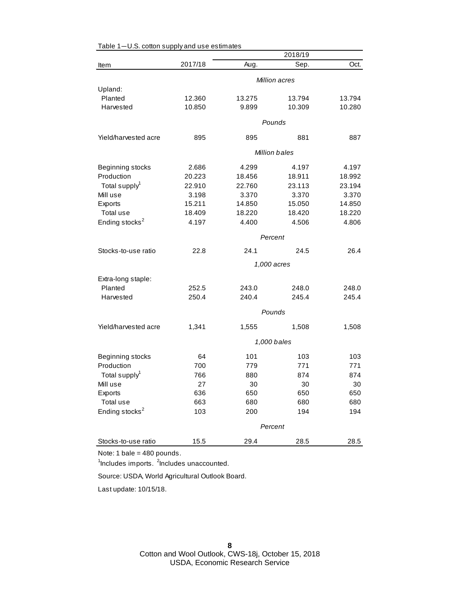|                            |             |        | 2018/19              |        |  |
|----------------------------|-------------|--------|----------------------|--------|--|
| Item                       | 2017/18     | Aug.   | Sep.                 | Oct.   |  |
|                            |             |        | Million acres        |        |  |
| Upland:                    |             |        |                      |        |  |
| Planted                    | 12.360      | 13.275 | 13.794               | 13.794 |  |
| Harvested                  | 10.850      | 9.899  | 10.309               | 10.280 |  |
|                            |             |        | Pounds               |        |  |
| Yield/harvested acre       |             |        | 881                  |        |  |
|                            | 895         | 895    |                      | 887    |  |
|                            |             |        | <b>Million bales</b> |        |  |
| Beginning stocks           | 2.686       | 4.299  | 4.197                | 4.197  |  |
| Production                 | 20.223      | 18.456 | 18.911               | 18.992 |  |
| Total supply <sup>1</sup>  | 22.910      | 22.760 | 23.113               | 23.194 |  |
| Mill use                   | 3.198       | 3.370  | 3.370                | 3.370  |  |
| Exports                    | 15.211      | 14.850 | 15.050               | 14.850 |  |
| Total use                  | 18.409      | 18.220 | 18.420               | 18.220 |  |
| Ending stocks <sup>2</sup> | 4.197       | 4.400  | 4.506                | 4.806  |  |
|                            |             |        | Percent              |        |  |
| Stocks-to-use ratio        | 22.8        | 24.1   | 24.5                 | 26.4   |  |
|                            | 1,000 acres |        |                      |        |  |
| Extra-long staple:         |             |        |                      |        |  |
| Planted                    | 252.5       | 243.0  | 248.0                | 248.0  |  |
| Harvested                  | 250.4       | 240.4  | 245.4                | 245.4  |  |
|                            |             |        | Pounds               |        |  |
|                            |             |        |                      |        |  |
| Yield/harvested acre       | 1,341       | 1,555  | 1,508                | 1,508  |  |
|                            |             |        | 1,000 bales          |        |  |
| Beginning stocks           | 64          | 101    | 103                  | 103    |  |
| Production                 | 700         | 779    | 771                  | 771    |  |
| Total supply <sup>1</sup>  | 766         | 880    | 874                  | 874    |  |
| Mill use                   | 27          | 30     | 30                   | 30     |  |
| Exports                    | 636         | 650    | 650                  | 650    |  |
| Total use                  | 663         | 680    | 680                  | 680    |  |
| Ending stocks <sup>2</sup> | 103         | 200    | 194                  | 194    |  |
|                            |             |        | Percent              |        |  |
| Stocks-to-use ratio        | 15.5        | 29.4   | 28.5                 | 28.5   |  |
|                            |             |        |                      |        |  |

#### Table 1—U.S. cotton supply and use estimates

Note: 1 bale = 480 pounds.

<sup>1</sup>Includes imports. <sup>2</sup>Includes unaccounted.

Source: USDA, World Agricultural Outlook Board.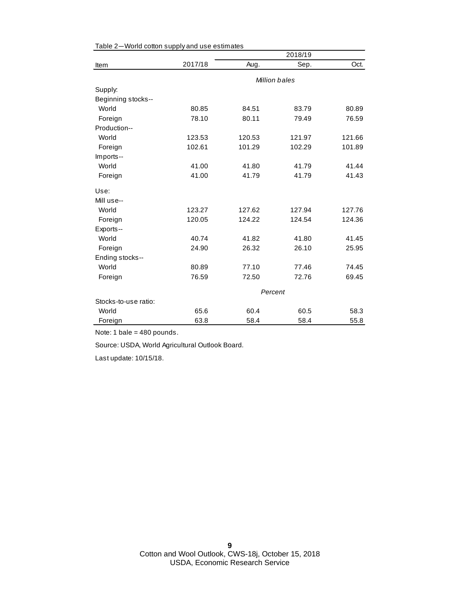|                      |               |         | 2018/19 |        |
|----------------------|---------------|---------|---------|--------|
| Item                 | 2017/18       | Aug.    | Sep.    | Oct.   |
|                      | Million bales |         |         |        |
| Supply:              |               |         |         |        |
| Beginning stocks--   |               |         |         |        |
| World                | 80.85         | 84.51   | 83.79   | 80.89  |
| Foreign              | 78.10         | 80.11   | 79.49   | 76.59  |
| Production--         |               |         |         |        |
| World                | 123.53        | 120.53  | 121.97  | 121.66 |
| Foreign              | 102.61        | 101.29  | 102.29  | 101.89 |
| Imports--            |               |         |         |        |
| World                | 41.00         | 41.80   | 41.79   | 41.44  |
| Foreign              | 41.00         | 41.79   | 41.79   | 41.43  |
| Use:                 |               |         |         |        |
| Mill use--           |               |         |         |        |
| World                | 123.27        | 127.62  | 127.94  | 127.76 |
| Foreign              | 120.05        | 124.22  | 124.54  | 124.36 |
| Exports--            |               |         |         |        |
| World                | 40.74         | 41.82   | 41.80   | 41.45  |
| Foreign              | 24.90         | 26.32   | 26.10   | 25.95  |
| Ending stocks--      |               |         |         |        |
| World                | 80.89         | 77.10   | 77.46   | 74.45  |
| Foreign              | 76.59         | 72.50   | 72.76   | 69.45  |
|                      |               | Percent |         |        |
| Stocks-to-use ratio: |               |         |         |        |
| World                | 65.6          | 60.4    | 60.5    | 58.3   |
| Foreign              | 63.8          | 58.4    | 58.4    | 55.8   |

| Table 2-World cotton supply and use estimates |  |  |
|-----------------------------------------------|--|--|
|-----------------------------------------------|--|--|

Note: 1 bale = 480 pounds.

Source: USDA, World Agricultural Outlook Board.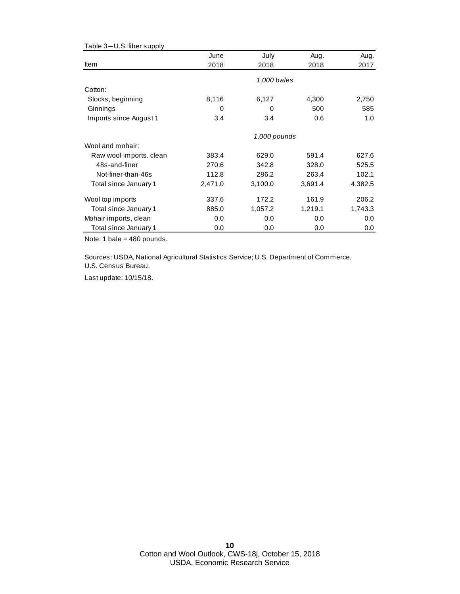| Table 3-U.S. fiber supply |         |              |         |         |
|---------------------------|---------|--------------|---------|---------|
|                           | June    | July         | Aug.    | Aug.    |
| Item                      | 2018    | 2018         | 2018    | 2017    |
|                           |         | 1,000 bales  |         |         |
| Cotton:                   |         |              |         |         |
| Stocks, beginning         | 8,116   | 6,127        | 4,300   | 2,750   |
| Ginnings                  | 0       | 0            | 500     | 585     |
| Imports since August 1    | 3.4     | 3.4          | 0.6     | 1.0     |
|                           |         | 1,000 pounds |         |         |
| Wool and mohair:          |         |              |         |         |
| Raw wool imports, clean   | 383.4   | 629.0        | 591.4   | 627.6   |
| 48s-and-finer             | 270.6   | 342.8        | 328.0   | 525.5   |
| Not-finer-than-46s        | 112.8   | 286.2        | 263.4   | 102.1   |
| Total since January 1     | 2,471.0 | 3,100.0      | 3,691.4 | 4,382.5 |
| Wool top imports          | 337.6   | 172.2        | 161.9   | 206.2   |
| Total since January 1     | 885.0   | 1,057.2      | 1,219.1 | 1,743.3 |
| Mohair imports, clean     | 0.0     | 0.0          | 0.0     | 0.0     |
| Total since January 1     | 0.0     | 0.0          | 0.0     | 0.0     |

Note: 1 bale = 480 pounds.

Sources: USDA, National Agricultural Statistics Service; U.S. Department of Commerce, U.S. Census Bureau.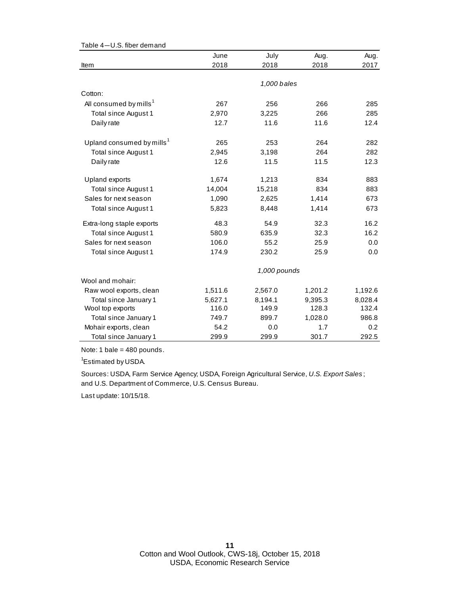|                                       | June         | July        | Aug.    | Aug.    |  |  |
|---------------------------------------|--------------|-------------|---------|---------|--|--|
| Item                                  | 2018         | 2018        | 2018    | 2017    |  |  |
|                                       |              |             |         |         |  |  |
|                                       |              | 1,000 bales |         |         |  |  |
| Cotton:                               |              |             |         |         |  |  |
| All consumed by mills <sup>1</sup>    | 267          | 256         | 266     | 285     |  |  |
| Total since August 1                  | 2,970        | 3,225       | 266     | 285     |  |  |
| Daily rate                            | 12.7         | 11.6        | 11.6    | 12.4    |  |  |
| Upland consumed by mills <sup>1</sup> | 265          | 253         | 264     | 282     |  |  |
| Total since August 1                  | 2,945        | 3,198       | 264     | 282     |  |  |
| Daily rate                            | 12.6         | 11.5        | 11.5    | 12.3    |  |  |
| Upland exports                        | 1,674        | 1,213       | 834     | 883     |  |  |
| Total since August 1                  | 14,004       | 15,218      | 834     | 883     |  |  |
| Sales for next season                 | 1,090        | 2,625       | 1,414   | 673     |  |  |
| Total since August 1                  | 5,823        | 8,448       | 1,414   | 673     |  |  |
| Extra-long staple exports             | 48.3         | 54.9        | 32.3    | 16.2    |  |  |
| Total since August 1                  | 580.9        | 635.9       | 32.3    | 16.2    |  |  |
| Sales for next season                 | 106.0        | 55.2        | 25.9    | 0.0     |  |  |
| Total since August 1                  | 174.9        | 230.2       | 25.9    | 0.0     |  |  |
|                                       | 1,000 pounds |             |         |         |  |  |
| Wool and mohair:                      |              |             |         |         |  |  |
| Raw wool exports, clean               | 1,511.6      | 2,567.0     | 1,201.2 | 1,192.6 |  |  |
| Total since January 1                 | 5,627.1      | 8,194.1     | 9,395.3 | 8,028.4 |  |  |
| Wool top exports                      | 116.0        | 149.9       | 128.3   | 132.4   |  |  |
| Total since January 1                 | 749.7        | 899.7       | 1,028.0 | 986.8   |  |  |
| Mohair exports, clean                 | 54.2         | 0.0         | 1.7     | 0.2     |  |  |
| Total since January 1                 | 299.9        | 299.9       | 301.7   | 292.5   |  |  |

Table 4—U.S. fiber demand

Note: 1 bale = 480 pounds.

<sup>1</sup>Estimated by USDA.

and U.S. Department of Commerce, U.S. Census Bureau. Sources: USDA, Farm Service Agency; USDA, Foreign Agricultural Service, *U.S. Export Sales* ;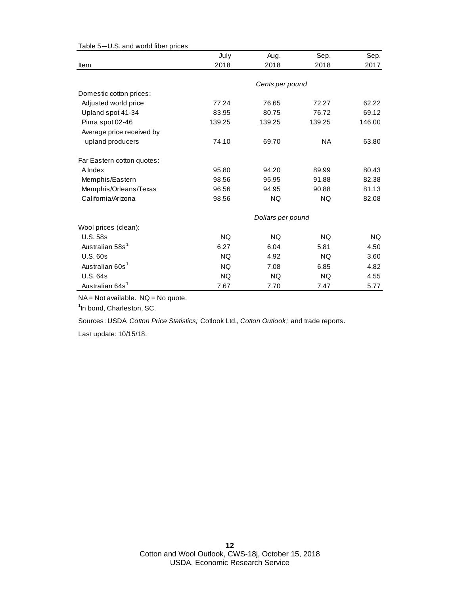|                             | July      | Aug.              | Sep.      | Sep.      |
|-----------------------------|-----------|-------------------|-----------|-----------|
| Item                        | 2018      | 2018              | 2018      | 2017      |
|                             |           |                   |           |           |
|                             |           | Cents per pound   |           |           |
| Domestic cotton prices:     |           |                   |           |           |
| Adjusted world price        | 77.24     | 76.65             | 72.27     | 62.22     |
| Upland spot 41-34           | 83.95     | 80.75             | 76.72     | 69.12     |
| Pima spot 02-46             | 139.25    | 139.25            | 139.25    | 146.00    |
| Average price received by   |           |                   |           |           |
| upland producers            | 74.10     | 69.70             | <b>NA</b> | 63.80     |
| Far Eastern cotton quotes:  |           |                   |           |           |
| A Index                     | 95.80     | 94.20             | 89.99     | 80.43     |
| Memphis/Eastern             | 98.56     | 95.95             | 91.88     | 82.38     |
| Memphis/Orleans/Texas       | 96.56     | 94.95             | 90.88     | 81.13     |
| California/Arizona          | 98.56     | NQ                | <b>NQ</b> | 82.08     |
|                             |           | Dollars per pound |           |           |
| Wool prices (clean):        |           |                   |           |           |
| <b>U.S. 58s</b>             | <b>NQ</b> | <b>NQ</b>         | <b>NQ</b> | <b>NQ</b> |
| Australian 58s <sup>1</sup> | 6.27      | 6.04              | 5.81      | 4.50      |
| <b>U.S. 60s</b>             | <b>NQ</b> | 4.92              | <b>NQ</b> | 3.60      |
| Australian 60s <sup>1</sup> | <b>NQ</b> | 7.08              | 6.85      | 4.82      |
| U.S. 64s                    | <b>NQ</b> | NQ.               | NQ.       | 4.55      |
| Australian 64s <sup>1</sup> | 7.67      | 7.70              | 7.47      | 5.77      |

Table 5—U.S. and world fiber prices

NA = Not available. NQ = No quote.

<sup>1</sup>In bond, Charleston, SC.

Sources: USDA, *Cotton Price Statistics;* Cotlook Ltd., *Cotton Outlook;* and trade reports.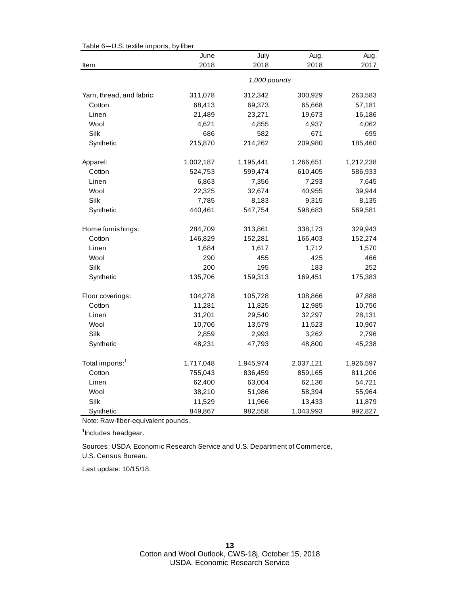|                             | June      | July         | Aug.      | Aug.      |
|-----------------------------|-----------|--------------|-----------|-----------|
| Item                        | 2018      | 2018         | 2018      | 2017      |
|                             |           | 1,000 pounds |           |           |
| Yarn, thread, and fabric:   | 311,078   | 312,342      | 300,929   | 263,583   |
| Cotton                      | 68,413    | 69,373       | 65,668    | 57,181    |
| Linen                       | 21,489    | 23,271       | 19,673    | 16,186    |
| Wool                        | 4,621     | 4,855        | 4,937     | 4,062     |
| Silk                        | 686       | 582          | 671       | 695       |
| Synthetic                   | 215,870   | 214,262      | 209,980   | 185,460   |
| Apparel:                    | 1,002,187 | 1,195,441    | 1,266,651 | 1,212,238 |
| Cotton                      | 524,753   | 599,474      | 610,405   | 586,933   |
| Linen                       | 6,863     | 7,356        | 7,293     | 7,645     |
| Wool                        | 22,325    | 32,674       | 40,955    | 39,944    |
| Silk                        | 7,785     | 8,183        | 9,315     | 8,135     |
| Synthetic                   | 440,461   | 547,754      | 598,683   | 569,581   |
| Home furnishings:           | 284,709   | 313,861      | 338,173   | 329,943   |
| Cotton                      | 146,829   | 152,281      | 166,403   | 152,274   |
| Linen                       | 1,684     | 1,617        | 1,712     | 1,570     |
| Wool                        | 290       | 455          | 425       | 466       |
| Silk                        | 200       | 195          | 183       | 252       |
| Synthetic                   | 135,706   | 159,313      | 169,451   | 175,383   |
| Floor coverings:            | 104,278   | 105,728      | 108,866   | 97,888    |
| Cotton                      | 11,281    | 11,825       | 12,985    | 10,756    |
| Linen                       | 31,201    | 29,540       | 32,297    | 28,131    |
| Wool                        | 10,706    | 13,579       | 11,523    | 10,967    |
| Silk                        | 2,859     | 2,993        | 3,262     | 2,796     |
| Synthetic                   | 48,231    | 47,793       | 48,800    | 45,238    |
| Total imports: <sup>1</sup> | 1,717,048 | 1,945,974    | 2,037,121 | 1,926,597 |
| Cotton                      | 755,043   | 836,459      | 859,165   | 811,206   |
| Linen                       | 62,400    | 63,004       | 62,136    | 54,721    |
| Wool                        | 38,210    | 51,986       | 58,394    | 55,964    |
| Silk                        | 11,529    | 11,966       | 13,433    | 11,879    |
| Synthetic                   | 849,867   | 982,558      | 1,043,993 | 992,827   |

Table 6—U.S. textile imports, by fiber

Note: Raw-fiber-equivalent pounds.

<sup>1</sup>Includes headgear.

U.S. Census Bureau. Sources: USDA, Economic Research Service and U.S. Department of Commerce,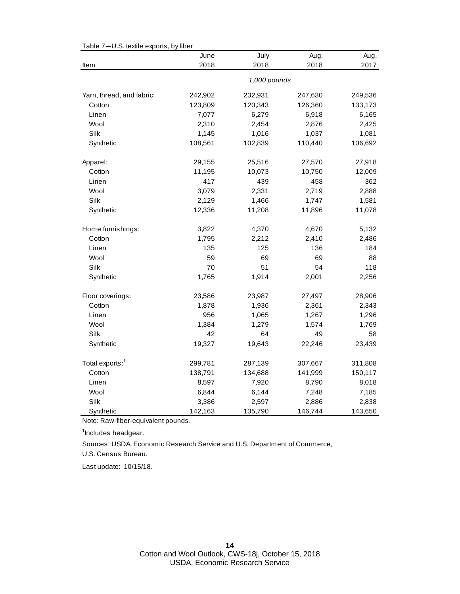|                             | June    | July         | Aug.    | Aug.    |
|-----------------------------|---------|--------------|---------|---------|
| Item                        | 2018    | 2018         | 2018    | 2017    |
|                             |         | 1,000 pounds |         |         |
| Yarn, thread, and fabric:   | 242,902 | 232,931      | 247,630 | 249,536 |
| Cotton                      | 123,809 | 120,343      | 126,360 | 133,173 |
| Linen                       | 7,077   | 6,279        | 6,918   | 6,165   |
| Wool                        | 2,310   | 2,454        | 2,876   | 2,425   |
| Silk                        | 1,145   | 1,016        | 1,037   | 1,081   |
| Synthetic                   | 108,561 | 102,839      | 110,440 | 106,692 |
| Apparel:                    | 29,155  | 25,516       | 27,570  | 27,918  |
| Cotton                      | 11,195  | 10,073       | 10,750  | 12,009  |
| Linen                       | 417     | 439          | 458     | 362     |
| Wool                        | 3,079   | 2,331        | 2,719   | 2,888   |
| Silk                        | 2,129   | 1,466        | 1,747   | 1,581   |
| Synthetic                   | 12,336  | 11,208       | 11,896  | 11,078  |
| Home furnishings:           | 3,822   | 4,370        | 4,670   | 5,132   |
| Cotton                      | 1,795   | 2,212        | 2,410   | 2,486   |
| Linen                       | 135     | 125          | 136     | 184     |
| Wool                        | 59      | 69           | 69      | 88      |
| Silk                        | 70      | 51           | 54      | 118     |
| Synthetic                   | 1,765   | 1,914        | 2,001   | 2,256   |
| Floor coverings:            | 23,586  | 23,987       | 27,497  | 28,906  |
| Cotton                      | 1,878   | 1,936        | 2,361   | 2,343   |
| Linen                       | 956     | 1,065        | 1,267   | 1,296   |
| Wool                        | 1,384   | 1,279        | 1,574   | 1,769   |
| Silk                        | 42      | 64           | 49      | 58      |
| Synthetic                   | 19,327  | 19,643       | 22,246  | 23,439  |
| Total exports: <sup>1</sup> | 299,781 | 287,139      | 307,667 | 311,808 |
| Cotton                      | 138,791 | 134,688      | 141,999 | 150,117 |
| Linen                       | 8,597   | 7,920        | 8,790   | 8,018   |
| Wool                        | 6,844   | 6,144        | 7,248   | 7,185   |
| Silk                        | 3,386   | 2,597        | 2,886   | 2,838   |
| Synthetic                   | 142,163 | 135,790      | 146,744 | 143,650 |

Table 7—U.S. textile exports, by fiber

Note: Raw-fiber-equivalent pounds.

<sup>1</sup>Includes headgear.

U.S. Census Bureau. Sources: USDA, Economic Research Service and U.S. Department of Commerce,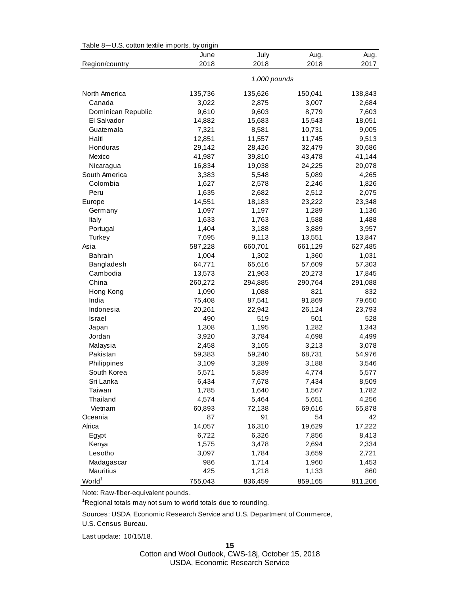| Table 8-U.S. cotton textile imports, by origin |              |         |         |         |
|------------------------------------------------|--------------|---------|---------|---------|
|                                                | June         | July    | Aug.    | Aug.    |
| Region/country                                 | 2018         | 2018    | 2018    | 2017    |
|                                                | 1,000 pounds |         |         |         |
| North America                                  | 135,736      | 135,626 | 150,041 | 138,843 |
| Canada                                         | 3,022        | 2,875   | 3,007   | 2,684   |
| Dominican Republic                             | 9,610        | 9,603   | 8,779   | 7,603   |
| El Salvador                                    | 14,882       | 15,683  | 15,543  | 18,051  |
| Guatemala                                      | 7,321        | 8,581   | 10,731  | 9,005   |
| Haiti                                          | 12,851       | 11,557  | 11,745  | 9,513   |
| Honduras                                       | 29,142       | 28,426  | 32,479  | 30,686  |
| Mexico                                         | 41,987       | 39,810  | 43,478  | 41,144  |
| Nicaragua                                      | 16,834       | 19,038  | 24,225  | 20,078  |
| South America                                  | 3,383        | 5,548   | 5,089   | 4,265   |
| Colombia                                       | 1,627        | 2,578   | 2,246   | 1,826   |
| Peru                                           | 1,635        | 2,682   | 2,512   | 2,075   |
| Europe                                         | 14,551       | 18,183  | 23,222  | 23,348  |
| Germany                                        | 1,097        | 1,197   | 1,289   | 1,136   |
| Italy                                          | 1,633        | 1,763   | 1,588   | 1,488   |
| Portugal                                       | 1,404        | 3,188   | 3,889   | 3,957   |
| Turkey                                         | 7,695        | 9,113   | 13,551  | 13,847  |
| Asia                                           | 587,228      | 660,701 | 661,129 | 627,485 |
| <b>Bahrain</b>                                 | 1,004        | 1,302   | 1,360   | 1,031   |
| Bangladesh                                     | 64,771       | 65,616  | 57,609  | 57,303  |
| Cambodia                                       | 13,573       | 21,963  | 20,273  | 17,845  |
| China                                          | 260,272      | 294,885 | 290,764 | 291,088 |
| Hong Kong                                      | 1,090        | 1,088   | 821     | 832     |
| India                                          | 75,408       | 87,541  | 91,869  | 79,650  |
| Indonesia                                      | 20,261       | 22,942  | 26,124  | 23,793  |
| <b>Israel</b>                                  | 490          | 519     | 501     | 528     |
| Japan                                          | 1,308        | 1,195   | 1,282   | 1,343   |
| Jordan                                         | 3,920        | 3,784   | 4,698   | 4,499   |
| Malaysia                                       | 2,458        | 3,165   | 3,213   | 3,078   |
| Pakistan                                       | 59,383       | 59,240  | 68,731  | 54,976  |
| Philippines                                    | 3,109        | 3,289   | 3,188   | 3,546   |
| South Korea                                    | 5,571        | 5,839   | 4,774   | 5,577   |
| Sri Lanka                                      | 6,434        | 7,678   | 7,434   | 8,509   |
| Taiwan                                         | 1,785        | 1,640   | 1,567   | 1,782   |
| Thailand                                       | 4,574        | 5,464   | 5,651   | 4,256   |
| Vietnam                                        | 60,893       | 72,138  | 69,616  | 65,878  |
| Oceania                                        | 87           | 91      | 54      | 42      |
| Africa                                         | 14,057       | 16,310  | 19,629  | 17,222  |
| Egypt                                          | 6,722        | 6,326   | 7,856   | 8,413   |
| Kenya                                          | 1,575        | 3,478   | 2,694   | 2,334   |
| Lesotho                                        | 3,097        | 1,784   | 3,659   | 2,721   |
| Madagascar                                     | 986          | 1,714   | 1,960   | 1,453   |
| Mauritius                                      | 425          | 1,218   | 1,133   | 860     |
| World <sup>1</sup>                             | 755,043      | 836,459 | 859,165 | 811,206 |

Table 8—U.S. cotton textile imports, by origin

Note: Raw-fiber-equivalent pounds.

<sup>1</sup>Regional totals may not sum to world totals due to rounding.

Sources: USDA, Economic Research Service and U.S. Department of Commerce,

U.S. Census Bureau.

Last update: 10/15/18.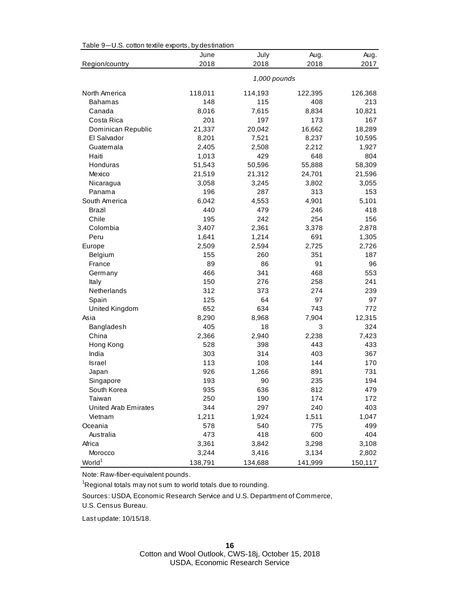| July<br>June<br>Aug.<br>Aug.<br>2018<br>2018<br>2018<br>2017<br>Region/country<br>1,000 pounds<br>North America<br>118,011<br>122,395<br>114,193<br>126,368<br>148<br>115<br>408<br>213<br><b>Bahamas</b><br>7,615<br>8,834<br>10,821<br>Canada<br>8,016<br>Costa Rica<br>201<br>197<br>173<br>167<br>21,337<br>20,042<br>16,662<br>Dominican Republic<br>18,289<br>El Salvador<br>8,201<br>7,521<br>8,237<br>10,595<br>Guatemala<br>2,405<br>2,508<br>2,212<br>1,927<br>429<br>648<br>804<br>Haiti<br>1,013<br>50,596<br>55,888<br>Honduras<br>51,543<br>58,309<br>Mexico<br>21,519<br>21,312<br>24,701<br>21,596<br>Nicaragua<br>3,058<br>3,245<br>3,802<br>3,055<br>Panama<br>196<br>287<br>313<br>153<br>South America<br>6,042<br>4,553<br>4,901<br>5,101<br>440<br>479<br>418<br>Brazil<br>246<br>Chile<br>195<br>242<br>254<br>156<br>Colombia<br>2,361<br>3,407<br>3,378<br>2,878<br>1,641<br>1,214<br>691<br>Peru<br>1,305<br>Europe<br>2,509<br>2,594<br>2,725<br>2,726<br>155<br>260<br>351<br>187<br>Belgium<br>89<br>86<br>91<br>96<br>France |
|------------------------------------------------------------------------------------------------------------------------------------------------------------------------------------------------------------------------------------------------------------------------------------------------------------------------------------------------------------------------------------------------------------------------------------------------------------------------------------------------------------------------------------------------------------------------------------------------------------------------------------------------------------------------------------------------------------------------------------------------------------------------------------------------------------------------------------------------------------------------------------------------------------------------------------------------------------------------------------------------------------------------------------------------------------|
|                                                                                                                                                                                                                                                                                                                                                                                                                                                                                                                                                                                                                                                                                                                                                                                                                                                                                                                                                                                                                                                            |
|                                                                                                                                                                                                                                                                                                                                                                                                                                                                                                                                                                                                                                                                                                                                                                                                                                                                                                                                                                                                                                                            |
|                                                                                                                                                                                                                                                                                                                                                                                                                                                                                                                                                                                                                                                                                                                                                                                                                                                                                                                                                                                                                                                            |
|                                                                                                                                                                                                                                                                                                                                                                                                                                                                                                                                                                                                                                                                                                                                                                                                                                                                                                                                                                                                                                                            |
|                                                                                                                                                                                                                                                                                                                                                                                                                                                                                                                                                                                                                                                                                                                                                                                                                                                                                                                                                                                                                                                            |
|                                                                                                                                                                                                                                                                                                                                                                                                                                                                                                                                                                                                                                                                                                                                                                                                                                                                                                                                                                                                                                                            |
|                                                                                                                                                                                                                                                                                                                                                                                                                                                                                                                                                                                                                                                                                                                                                                                                                                                                                                                                                                                                                                                            |
|                                                                                                                                                                                                                                                                                                                                                                                                                                                                                                                                                                                                                                                                                                                                                                                                                                                                                                                                                                                                                                                            |
|                                                                                                                                                                                                                                                                                                                                                                                                                                                                                                                                                                                                                                                                                                                                                                                                                                                                                                                                                                                                                                                            |
|                                                                                                                                                                                                                                                                                                                                                                                                                                                                                                                                                                                                                                                                                                                                                                                                                                                                                                                                                                                                                                                            |
|                                                                                                                                                                                                                                                                                                                                                                                                                                                                                                                                                                                                                                                                                                                                                                                                                                                                                                                                                                                                                                                            |
|                                                                                                                                                                                                                                                                                                                                                                                                                                                                                                                                                                                                                                                                                                                                                                                                                                                                                                                                                                                                                                                            |
|                                                                                                                                                                                                                                                                                                                                                                                                                                                                                                                                                                                                                                                                                                                                                                                                                                                                                                                                                                                                                                                            |
|                                                                                                                                                                                                                                                                                                                                                                                                                                                                                                                                                                                                                                                                                                                                                                                                                                                                                                                                                                                                                                                            |
|                                                                                                                                                                                                                                                                                                                                                                                                                                                                                                                                                                                                                                                                                                                                                                                                                                                                                                                                                                                                                                                            |
|                                                                                                                                                                                                                                                                                                                                                                                                                                                                                                                                                                                                                                                                                                                                                                                                                                                                                                                                                                                                                                                            |
|                                                                                                                                                                                                                                                                                                                                                                                                                                                                                                                                                                                                                                                                                                                                                                                                                                                                                                                                                                                                                                                            |
|                                                                                                                                                                                                                                                                                                                                                                                                                                                                                                                                                                                                                                                                                                                                                                                                                                                                                                                                                                                                                                                            |
|                                                                                                                                                                                                                                                                                                                                                                                                                                                                                                                                                                                                                                                                                                                                                                                                                                                                                                                                                                                                                                                            |
|                                                                                                                                                                                                                                                                                                                                                                                                                                                                                                                                                                                                                                                                                                                                                                                                                                                                                                                                                                                                                                                            |
|                                                                                                                                                                                                                                                                                                                                                                                                                                                                                                                                                                                                                                                                                                                                                                                                                                                                                                                                                                                                                                                            |
|                                                                                                                                                                                                                                                                                                                                                                                                                                                                                                                                                                                                                                                                                                                                                                                                                                                                                                                                                                                                                                                            |
|                                                                                                                                                                                                                                                                                                                                                                                                                                                                                                                                                                                                                                                                                                                                                                                                                                                                                                                                                                                                                                                            |
| 466<br>341<br>468<br>553<br>Germany                                                                                                                                                                                                                                                                                                                                                                                                                                                                                                                                                                                                                                                                                                                                                                                                                                                                                                                                                                                                                        |
| 150<br>276<br>Italy<br>258<br>241                                                                                                                                                                                                                                                                                                                                                                                                                                                                                                                                                                                                                                                                                                                                                                                                                                                                                                                                                                                                                          |
| Netherlands<br>312<br>373<br>239<br>274                                                                                                                                                                                                                                                                                                                                                                                                                                                                                                                                                                                                                                                                                                                                                                                                                                                                                                                                                                                                                    |
| 125<br>64<br>97<br>97<br>Spain                                                                                                                                                                                                                                                                                                                                                                                                                                                                                                                                                                                                                                                                                                                                                                                                                                                                                                                                                                                                                             |
| 634<br>652<br>743<br>772<br>United Kingdom                                                                                                                                                                                                                                                                                                                                                                                                                                                                                                                                                                                                                                                                                                                                                                                                                                                                                                                                                                                                                 |
| Asia<br>8,968<br>7,904<br>8,290<br>12,315                                                                                                                                                                                                                                                                                                                                                                                                                                                                                                                                                                                                                                                                                                                                                                                                                                                                                                                                                                                                                  |
| 405<br>18<br>3<br>324<br>Bangladesh                                                                                                                                                                                                                                                                                                                                                                                                                                                                                                                                                                                                                                                                                                                                                                                                                                                                                                                                                                                                                        |
| China<br>2,940<br>2,238<br>7,423<br>2,366                                                                                                                                                                                                                                                                                                                                                                                                                                                                                                                                                                                                                                                                                                                                                                                                                                                                                                                                                                                                                  |
| 528<br>398<br>433<br>Hong Kong<br>443                                                                                                                                                                                                                                                                                                                                                                                                                                                                                                                                                                                                                                                                                                                                                                                                                                                                                                                                                                                                                      |
| India<br>303<br>314<br>367<br>403                                                                                                                                                                                                                                                                                                                                                                                                                                                                                                                                                                                                                                                                                                                                                                                                                                                                                                                                                                                                                          |
| 108<br>170<br><b>Israel</b><br>113<br>144                                                                                                                                                                                                                                                                                                                                                                                                                                                                                                                                                                                                                                                                                                                                                                                                                                                                                                                                                                                                                  |
| 926<br>1,266<br>891<br>731<br>Japan                                                                                                                                                                                                                                                                                                                                                                                                                                                                                                                                                                                                                                                                                                                                                                                                                                                                                                                                                                                                                        |
| 193<br>90<br>235<br>194<br>Singapore                                                                                                                                                                                                                                                                                                                                                                                                                                                                                                                                                                                                                                                                                                                                                                                                                                                                                                                                                                                                                       |
| South Korea<br>935<br>636<br>479<br>812                                                                                                                                                                                                                                                                                                                                                                                                                                                                                                                                                                                                                                                                                                                                                                                                                                                                                                                                                                                                                    |
| 190<br>Taiwan<br>250<br>174<br>172                                                                                                                                                                                                                                                                                                                                                                                                                                                                                                                                                                                                                                                                                                                                                                                                                                                                                                                                                                                                                         |
| 344<br>297<br>403<br>United Arab Emirates<br>240                                                                                                                                                                                                                                                                                                                                                                                                                                                                                                                                                                                                                                                                                                                                                                                                                                                                                                                                                                                                           |
| Vietnam<br>1,211<br>1,924<br>1,511<br>1,047                                                                                                                                                                                                                                                                                                                                                                                                                                                                                                                                                                                                                                                                                                                                                                                                                                                                                                                                                                                                                |
| 578<br>540<br>Oceania<br>775<br>499                                                                                                                                                                                                                                                                                                                                                                                                                                                                                                                                                                                                                                                                                                                                                                                                                                                                                                                                                                                                                        |
| 473<br>418<br>600<br>404<br>Australia                                                                                                                                                                                                                                                                                                                                                                                                                                                                                                                                                                                                                                                                                                                                                                                                                                                                                                                                                                                                                      |
| Africa<br>3,361<br>3,842<br>3,298<br>3,108                                                                                                                                                                                                                                                                                                                                                                                                                                                                                                                                                                                                                                                                                                                                                                                                                                                                                                                                                                                                                 |
| Morocco<br>3,244<br>3,416<br>3,134<br>2,802                                                                                                                                                                                                                                                                                                                                                                                                                                                                                                                                                                                                                                                                                                                                                                                                                                                                                                                                                                                                                |
| World <sup>1</sup><br>138,791<br>134,688<br>141,999<br>150,117                                                                                                                                                                                                                                                                                                                                                                                                                                                                                                                                                                                                                                                                                                                                                                                                                                                                                                                                                                                             |

Table 9—U.S. cotton textile exports, by destination

Note: Raw-fiber-equivalent pounds.

<sup>1</sup>Regional totals may not sum to world totals due to rounding.

Sources: USDA, Economic Research Service and U.S. Department of Commerce,

U.S. Census Bureau.

Last update: 10/15/18.